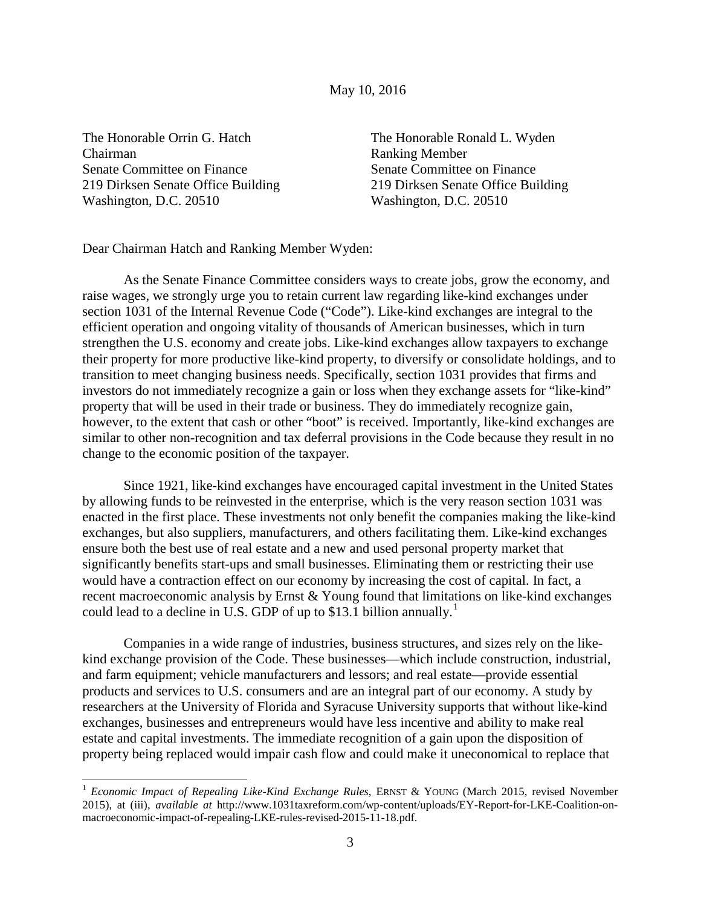## May 10, 2016

The Honorable Orrin G. Hatch The Honorable Ronald L. Wyden Chairman Ranking Member Senate Committee on Finance Senate Committee on Finance Washington, D.C. 20510 Washington, D.C. 20510

219 Dirksen Senate Office Building 219 Dirksen Senate Office Building

Dear Chairman Hatch and Ranking Member Wyden:

As the Senate Finance Committee considers ways to create jobs, grow the economy, and raise wages, we strongly urge you to retain current law regarding like-kind exchanges under section 1031 of the Internal Revenue Code ("Code"). Like-kind exchanges are integral to the efficient operation and ongoing vitality of thousands of American businesses, which in turn strengthen the U.S. economy and create jobs. Like-kind exchanges allow taxpayers to exchange their property for more productive like-kind property, to diversify or consolidate holdings, and to transition to meet changing business needs. Specifically, section 1031 provides that firms and investors do not immediately recognize a gain or loss when they exchange assets for "like-kind" property that will be used in their trade or business. They do immediately recognize gain, however, to the extent that cash or other "boot" is received. Importantly, like-kind exchanges are similar to other non-recognition and tax deferral provisions in the Code because they result in no change to the economic position of the taxpayer.

Since 1921, like-kind exchanges have encouraged capital investment in the United States by allowing funds to be reinvested in the enterprise, which is the very reason section 1031 was enacted in the first place. These investments not only benefit the companies making the like-kind exchanges, but also suppliers, manufacturers, and others facilitating them. Like-kind exchanges ensure both the best use of real estate and a new and used personal property market that significantly benefits start-ups and small businesses. Eliminating them or restricting their use would have a contraction effect on our economy by increasing the cost of capital. In fact, a recent macroeconomic analysis by Ernst & Young found that limitations on like-kind exchanges could lead to a decline in U.S. GDP of up to \$[1](#page-0-0)3.1 billion annually.<sup>1</sup>

Companies in a wide range of industries, business structures, and sizes rely on the likekind exchange provision of the Code. These businesses—which include construction, industrial, and farm equipment; vehicle manufacturers and lessors; and real estate—provide essential products and services to U.S. consumers and are an integral part of our economy. A study by researchers at the University of Florida and Syracuse University supports that without like-kind exchanges, businesses and entrepreneurs would have less incentive and ability to make real estate and capital investments. The immediate recognition of a gain upon the disposition of property being replaced would impair cash flow and could make it uneconomical to replace that

<span id="page-0-0"></span><sup>&</sup>lt;sup>1</sup> *Economic Impact of Repealing Like-Kind Exchange Rules*, ERNST & YOUNG (March 2015, revised November 2015), at (iii), *available at* http://www.1031taxreform.com/wp-content/uploads/EY-Report-for-LKE-Coalition-onmacroeconomic-impact-of-repealing-LKE-rules-revised-2015-11-18.pdf.